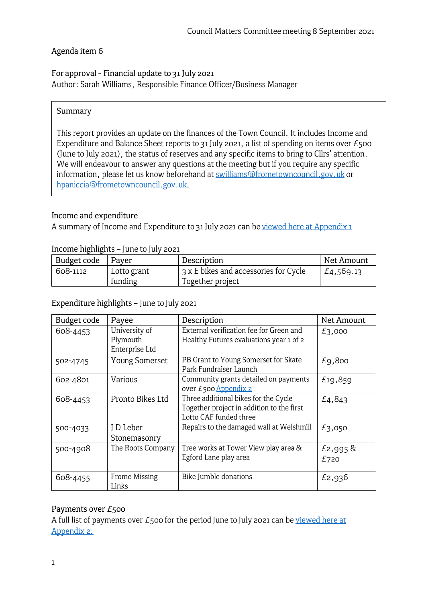# Agenda item 6

For approval - Financial update to 31 July 2021 Author: Sarah Williams, Responsible Finance Officer/Business Manager

#### Summary

This report provides an update on the finances of the Town Council. It includes Income and Expenditure and Balance Sheet reports to 31 July 2021, a list of spending on items over  $E_5$ 00 (June to July 2021), the status of reserves and any specific items to bring to Cllrs' attention. We will endeavour to answer any questions at the meeting but if you require any specific information, please let us know beforehand at swilliams@frometowncouncil.gov.uk or hpaniccia afrometowncouncil. gov. uk.

### **Income and expenditure**

A summary of Income and Expenditure to 31 July 2021 can be [viewed here at Appendix 1](https://www.frometowncouncil.gov.uk/wp-content/uploads/2021/09/Appendx-1-Income-Expenditure-by-Budget-Heading-31_07_2021.pdf) 

### Income highlights - June to July 2021

| Budget code | Payer       | Description                           | Net Amount |
|-------------|-------------|---------------------------------------|------------|
| 608-1112    | Lotto grant | 3 x E bikes and accessories for Cycle | £4,569.13  |
|             | funding     | Together project                      |            |

#### Expenditure highlights - June to July 2021

| Budget code | Payee                                       | Description                                                                                                 | Net Amount         |
|-------------|---------------------------------------------|-------------------------------------------------------------------------------------------------------------|--------------------|
| 608-4453    | University of<br>Plymouth<br>Enterprise Ltd | External verification fee for Green and<br>Healthy Futures evaluations year 1 of 2                          | £3,000             |
| 502-4745    | <b>Young Somerset</b>                       | PB Grant to Young Somerset for Skate<br>Park Fundraiser Launch                                              | E9,800             |
| 602-4801    | Various                                     | Community grants detailed on payments<br>over £500 Appendix 2                                               | £19,859            |
| 608-4453    | Pronto Bikes Ltd                            | Three additional bikes for the Cycle<br>Together project in addition to the first<br>Lotto CAF funded three | £4,843             |
| 500-4033    | J D Leber<br>Stonemasonry                   | Repairs to the damaged wall at Welshmill                                                                    | £3,050             |
| 500-4908    | The Roots Company                           | Tree works at Tower View play area &<br>Egford Lane play area                                               | $£2,995$ &<br>£720 |
| 608-4455    | Frome Missing<br>Links                      | Bike Jumble donations                                                                                       | £2,936             |

### Payments over £500

A full list of payments over  $E_5$ 00 for the period June to July 2021 can be viewed here at [Appendix 2.](https://www.frometowncouncil.gov.uk/wp-content/uploads/2021/09/Appendix-2-Payments-over-500-June-and-July-2021.pdf)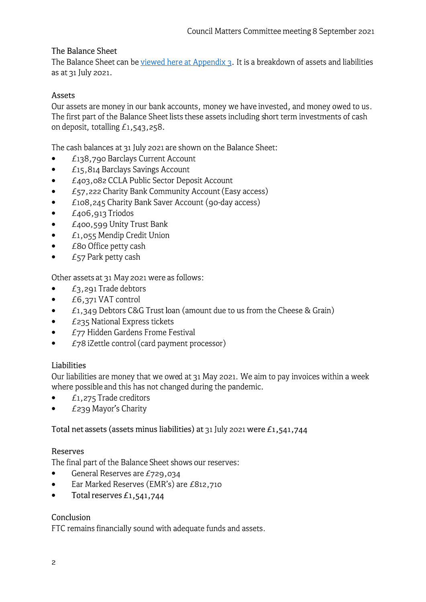# The Balance Sheet

The Balance Sheet can be [viewed here at Appendix 3.](https://www.frometowncouncil.gov.uk/wp-content/uploads/2021/09/Appendix-3-Balance-Sheet-as-at-31_07_2021.pdf) It is a breakdown of assets and liabilities as at 31 July 2021.

# Assets

Our assets are money in our bank accounts, money we have invested, and money owed to us. The first part of the Balance Sheet lists these assets including short term investments of cash on deposit, totalling £1,543,258.

The cash balances at 31 July 2021 are shown on the Balance Sheet:

- £138,790 Barclays Current Account •
- £15,814 Barclays Savings Account •
- £403,082 CCLA Public Sector Deposit Account •
- £57,222 Charity Bank Community Account (Easy access) •
- £108,245 Charity Bank Saver Account (go-day access) •
- £406,913 Triodos •
- £400,599 Unity Trust Bank •
- £1,055 Mendip Credit Union •
- £ 80 Office petty cash •
- £57 Park petty cash •

Other assets at 31 May 2021 were as follows:

- £3,291 Trade debtors •
- £6,371 VAT control •
- £1,349 Debtors C&G Trust loan (amount due to us from the Cheese & Grain) •
- £235 National Express tickets •
- £77 Hidden Gardens Frame Festival •
- £78 iZettle control (card payment processor) •

### Liabilities

Our liabilities are money that we owed at 31 May 2021. We aim to pay invoices within a week where possible and this has not changed during the pandemic.

- $£1,275$  Trade creditors •
- £239 Mayor's Charity •

Total net assets (assets minus liabilities) at 31 July 2021 were £1,541,744

### Reserves

The final part of the Balance Sheet shows our reserves:

- General Reserves are £729,034 •
- Ear Marked Reserves (EMR's) are £812,710 •
- Total reserves £1,541,744 •

### **Conclusion**

FTC remains financially sound with adequate funds and assets.